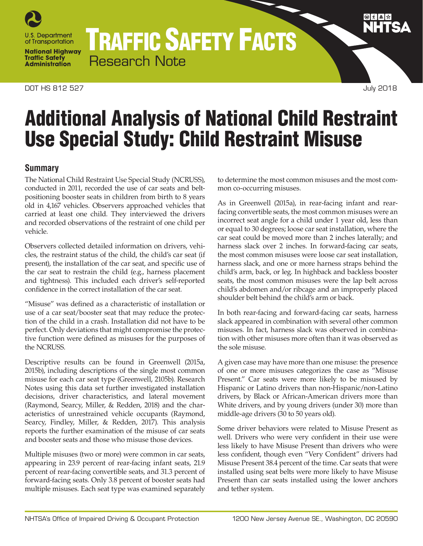

TRAFFIC SAFETY FACTS Research Note

# Additional Analysis of National Child Restraint Use Special Study: Child Restraint Misuse

# **Summary**

The National Child Restraint Use Special Study (NCRUSS), conducted in 2011, recorded the use of car seats and beltpositioning booster seats in children from birth to 8 years old in 4,167 vehicles. Observers approached vehicles that carried at least one child. They interviewed the drivers and recorded observations of the restraint of one child per vehicle.

Observers collected detailed information on drivers, vehicles, the restraint status of the child, the child's car seat (if present), the installation of the car seat, and specific use of the car seat to restrain the child (e.g., harness placement and tightness). This included each driver's self-reported confidence in the correct installation of the car seat.

"Misuse" was defined as a characteristic of installation or use of a car seat/booster seat that may reduce the protection of the child in a crash. Installation did not have to be perfect. Only deviations that might compromise the protective function were defined as misuses for the purposes of the NCRUSS.

Descriptive results can be found in Greenwell (2015a, 2015b), including descriptions of the single most common misuse for each car seat type (Greenwell, 2105b). Research Notes using this data set further investigated installation decisions, driver characteristics, and lateral movement (Raymond, Searcy, Miller, & Redden, 2018) and the characteristics of unrestrained vehicle occupants (Raymond, Searcy, Findley, Miller, & Redden, 2017). This analysis reports the further examination of the misuse of car seats and booster seats and those who misuse those devices.

Multiple misuses (two or more) were common in car seats, appearing in 23.9 percent of rear-facing infant seats, 21.9 percent of rear-facing convertible seats, and 31.3 percent of forward-facing seats. Only 3.8 percent of booster seats had multiple misuses. Each seat type was examined separately

to determine the most common misuses and the most common co-occurring misuses.

As in Greenwell (2015a), in rear-facing infant and rearfacing convertible seats, the most common misuses were an incorrect seat angle for a child under 1 year old, less than or equal to 30 degrees; loose car seat installation, where the car seat could be moved more than 2 inches laterally; and harness slack over 2 inches. In forward-facing car seats, the most common misuses were loose car seat installation, harness slack, and one or more harness straps behind the child's arm, back, or leg. In highback and backless booster seats, the most common misuses were the lap belt across child's abdomen and/or ribcage and an improperly placed shoulder belt behind the child's arm or back.

In both rear-facing and forward-facing car seats, harness slack appeared in combination with several other common misuses. In fact, harness slack was observed in combination with other misuses more often than it was observed as the sole misuse.

A given case may have more than one misuse: the presence of one or more misuses categorizes the case as "Misuse Present." Car seats were more likely to be misused by Hispanic or Latino drivers than non-Hispanic/non-Latino drivers, by Black or African-American drivers more than White drivers, and by young drivers (under 30) more than middle-age drivers (30 to 50 years old).

Some driver behaviors were related to Misuse Present as well. Drivers who were very confident in their use were less likely to have Misuse Present than drivers who were less confident, though even "Very Confident" drivers had Misuse Present 38.4 percent of the time. Car seats that were installed using seat belts were more likely to have Misuse Present than car seats installed using the lower anchors and tether system.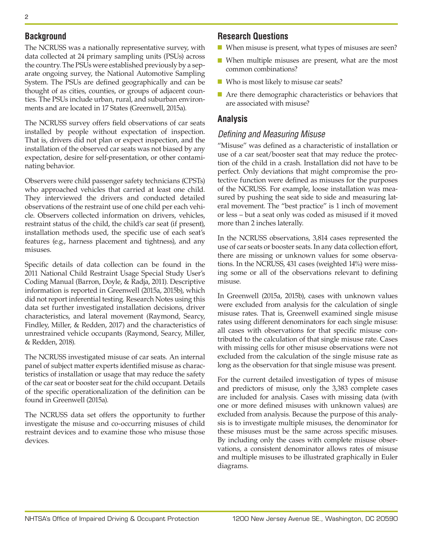# **Background**

The NCRUSS was a nationally representative survey, with data collected at 24 primary sampling units (PSUs) across the country. The PSUs were established previously by a separate ongoing survey, the National Automotive Sampling System. The PSUs are defined geographically and can be thought of as cities, counties, or groups of adjacent counties. The PSUs include urban, rural, and suburban environments and are located in 17 States (Greenwell, 2015a).

The NCRUSS survey offers field observations of car seats installed by people without expectation of inspection. That is, drivers did not plan or expect inspection, and the installation of the observed car seats was not biased by any expectation, desire for self-presentation, or other contaminating behavior.

Observers were child passenger safety technicians (CPSTs) who approached vehicles that carried at least one child. They interviewed the drivers and conducted detailed observations of the restraint use of one child per each vehicle. Observers collected information on drivers, vehicles, restraint status of the child, the child's car seat (if present), installation methods used, the specific use of each seat's features (e.g., harness placement and tightness), and any misuses.

Specific details of data collection can be found in the 2011 National Child Restraint Usage Special Study User's Coding Manual (Barron, Doyle, & Radja, 2011). Descriptive information is reported in Greenwell (2015a, 2015b), which did not report inferential testing. Research Notes using this data set further investigated installation decisions, driver characteristics, and lateral movement (Raymond, Searcy, Findley, Miller, & Redden, 2017) and the characteristics of unrestrained vehicle occupants (Raymond, Searcy, Miller, & Redden, 2018).

The NCRUSS investigated misuse of car seats. An internal panel of subject matter experts identified misuse as characteristics of installation or usage that may reduce the safety of the car seat or booster seat for the child occupant. Details of the specific operationalization of the definition can be found in Greenwell (2015a).

The NCRUSS data set offers the opportunity to further investigate the misuse and co-occurring misuses of child restraint devices and to examine those who misuse those devices.

# **Research Questions**

- When misuse is present, what types of misuses are seen?
- When multiple misuses are present, what are the most common combinations?
- Who is most likely to misuse car seats?
- Are there demographic characteristics or behaviors that are associated with misuse?

# **Analysis**

# *Defining and Measuring Misuse*

"Misuse" was defined as a characteristic of installation or use of a car seat/booster seat that may reduce the protection of the child in a crash. Installation did not have to be perfect. Only deviations that might compromise the protective function were defined as misuses for the purposes of the NCRUSS. For example, loose installation was measured by pushing the seat side to side and measuring lateral movement. The "best practice" is 1 inch of movement or less – but a seat only was coded as misused if it moved more than 2 inches laterally.

In the NCRUSS observations, 3,814 cases represented the use of car seats or booster seats. In any data collection effort, there are missing or unknown values for some observations. In the NCRUSS, 431 cases (weighted 14%) were missing some or all of the observations relevant to defining misuse.

In Greenwell (2015a, 2015b), cases with unknown values were excluded from analysis for the calculation of single misuse rates. That is, Greenwell examined single misuse rates using different denominators for each single misuse: all cases with observations for that specific misuse contributed to the calculation of that single misuse rate. Cases with missing cells for other misuse observations were not excluded from the calculation of the single misuse rate as long as the observation for that single misuse was present.

For the current detailed investigation of types of misuse and predictors of misuse, only the 3,383 complete cases are included for analysis. Cases with missing data (with one or more defined misuses with unknown values) are excluded from analysis. Because the purpose of this analysis is to investigate multiple misuses, the denominator for these misuses must be the same across specific misuses. By including only the cases with complete misuse observations, a consistent denominator allows rates of misuse and multiple misuses to be illustrated graphically in Euler diagrams.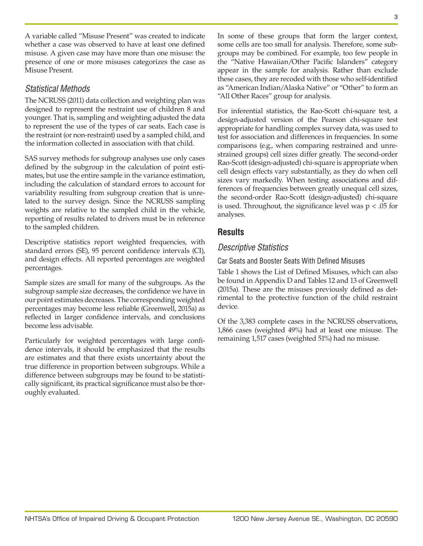A variable called "Misuse Present" was created to indicate whether a case was observed to have at least one defined misuse. A given case may have more than one misuse: the presence of one or more misuses categorizes the case as Misuse Present.

# *Statistical Methods*

The NCRUSS (2011) data collection and weighting plan was designed to represent the restraint use of children 8 and younger. That is, sampling and weighting adjusted the data to represent the use of the types of car seats. Each case is the restraint (or non-restraint) used by a sampled child, and the information collected in association with that child.

SAS survey methods for subgroup analyses use only cases defined by the subgroup in the calculation of point estimates, but use the entire sample in the variance estimation, including the calculation of standard errors to account for variability resulting from subgroup creation that is unrelated to the survey design. Since the NCRUSS sampling weights are relative to the sampled child in the vehicle, reporting of results related to drivers must be in reference to the sampled children.

Descriptive statistics report weighted frequencies, with standard errors (SE), 95 percent confidence intervals (CI), and design effects. All reported percentages are weighted percentages.

Sample sizes are small for many of the subgroups. As the subgroup sample size decreases, the confidence we have in our point estimates decreases. The corresponding weighted percentages may become less reliable (Greenwell, 2015a) as reflected in larger confidence intervals, and conclusions become less advisable.

Particularly for weighted percentages with large confidence intervals, it should be emphasized that the results are estimates and that there exists uncertainty about the true difference in proportion between subgroups. While a difference between subgroups may be found to be statistically significant, its practical significance must also be thoroughly evaluated.

In some of these groups that form the larger context, some cells are too small for analysis. Therefore, some subgroups may be combined. For example, too few people in the "Native Hawaiian/Other Pacific Islanders" category appear in the sample for analysis. Rather than exclude these cases, they are recoded with those who self-identified as "American Indian/Alaska Native" or "Other" to form an "All Other Races" group for analysis.

For inferential statistics, the Rao-Scott chi-square test, a design-adjusted version of the Pearson chi-square test appropriate for handling complex survey data, was used to test for association and differences in frequencies. In some comparisons (e.g., when comparing restrained and unrestrained groups) cell sizes differ greatly. The second-order Rao-Scott (design-adjusted) chi-square is appropriate when cell design effects vary substantially, as they do when cell sizes vary markedly. When testing associations and differences of frequencies between greatly unequal cell sizes, the second-order Rao-Scott (design-adjusted) chi-square is used. Throughout, the significance level was  $p < .05$  for analyses.

# **Results**

# *Descriptive Statistics*

# Car Seats and Booster Seats With Defined Misuses

Table 1 shows the List of Defined Misuses, which can also be found in Appendix D and Tables 12 and 13 of Greenwell (2015a). These are the misuses previously defined as detrimental to the protective function of the child restraint device.

Of the 3,383 complete cases in the NCRUSS observations, 1,866 cases (weighted 49%) had at least one misuse. The remaining 1,517 cases (weighted 51%) had no misuse.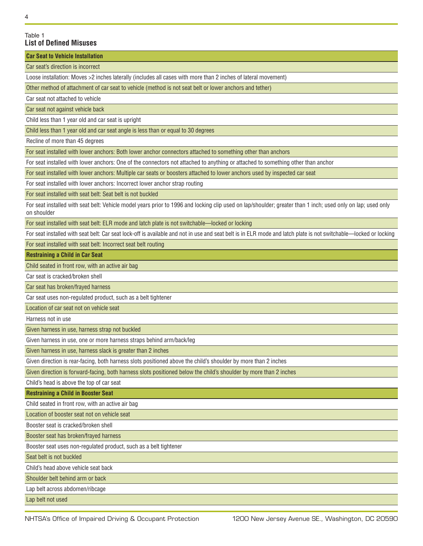#### 4

#### Table 1 **List of Defined Misuses**

**Car Seat to Vehicle Installation** 

Car seat's direction is incorrect

Loose installation: Moves >2 inches laterally (includes all cases with more than 2 inches of lateral movement)

Other method of attachment of car seat to vehicle (method is not seat belt or lower anchors and tether)

Car seat not attached to vehicle

Car seat not against vehicle back

Child less than 1 year old and car seat is upright

Child less than 1 year old and car seat angle is less than or equal to 30 degrees

Recline of more than 45 degrees

For seat installed with lower anchors: Both lower anchor connectors attached to something other than anchors

For seat installed with lower anchors: One of the connectors not attached to anything or attached to something other than anchor

For seat installed with lower anchors: Multiple car seats or boosters attached to lower anchors used by inspected car seat

For seat installed with lower anchors: Incorrect lower anchor strap routing

For seat installed with seat belt: Seat belt is not buckled

For seat installed with seat belt: Vehicle model years prior to 1996 and locking clip used on lap/shoulder; greater than 1 inch; used only on lap; used only on shoulder

For seat installed with seat belt: ELR mode and latch plate is not switchable—locked or locking

For seat installed with seat belt: Car seat lock-off is available and not in use and seat belt is in ELR mode and latch plate is not switchable—locked or locking

For seat installed with seat belt: Incorrect seat belt routing

**Restraining a Child in Car Seat** 

Child seated in front row, with an active air bag

Car seat is cracked/broken shell

Car seat has broken/frayed harness

Car seat uses non-regulated product, such as a belt tightener

Location of car seat not on vehicle seat

Harness not in use

Given harness in use, harness strap not buckled

Given harness in use, one or more harness straps behind arm/back/leg

Given harness in use, harness slack is greater than 2 inches

Given direction is rear-facing, both harness slots positioned above the child's shoulder by more than 2 inches

Given direction is forward-facing, both harness slots positioned below the child's shoulder by more than 2 inches

Child's head is above the top of car seat

**Restraining a Child in Booster Seat** 

Child seated in front row, with an active air bag

Location of booster seat not on vehicle seat

Booster seat is cracked/broken shell

Booster seat has broken/frayed harness

Booster seat uses non-regulated product, such as a belt tightener

Seat belt is not buckled

Child's head above vehicle seat back

Shoulder belt behind arm or back

Lap belt across abdomen/ribcage

Lap belt not used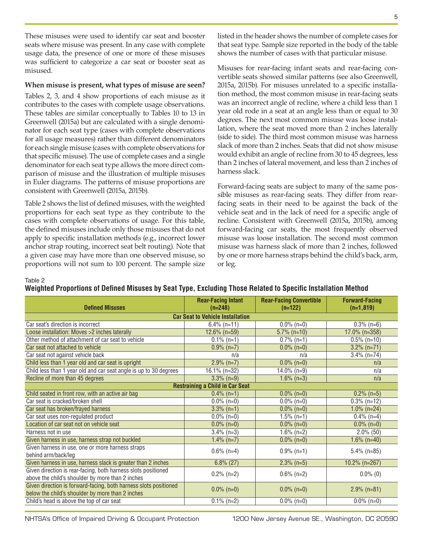These misuses were used to identify car seat and booster seats where misuse was present. In any case with complete usage data, the presence of one or more of these misuses was sufficient to categorize a car seat or booster seat as misused.

#### **When misuse is present, what types of misuse are seen?**

Tables 2, 3, and 4 show proportions of each misuse as it contributes to the cases with complete usage observations. These tables are similar conceptually to Tables 10 to 13 in Greenwell (2015a) but are calculated with a single denominator for each seat type (cases with complete observations for all usage measures) rather than different denominators for each single misuse (cases with complete observations for that specific misuse). The use of complete cases and a single denominator for each seat type allows the more direct comparison of misuse and the illustration of multiple misuses in Euler diagrams. The patterns of misuse proportions are consistent with Greenwell (2015a, 2015b).

Table 2 shows the list of defined misuses, with the weighted proportions for each seat type as they contribute to the cases with complete observations of usage. For this table, the defined misuses include only those misuses that do not apply to specific installation methods (e.g., incorrect lower anchor strap routing, incorrect seat belt routing). Note that a given case may have more than one observed misuse, so proportions will not sum to 100 percent. The sample size

listed in the header shows the number of complete cases for that seat type. Sample size reported in the body of the table shows the number of cases with that particular misuse.

Misuses for rear-facing infant seats and rear-facing convertible seats showed similar patterns (see also Greenwell, 2015a, 2015b). For misuses unrelated to a specific installation method, the most common misuse in rear-facing seats was an incorrect angle of recline, where a child less than 1 year old rode in a seat at an angle less than or equal to 30 degrees. The next most common misuse was loose installation, where the seat moved more than 2 inches laterally (side to side). The third most common misuse was harness slack of more than 2 inches. Seats that did not show misuse would exhibit an angle of recline from 30 to 45 degrees, less than 2 inches of lateral movement, and less than 2 inches of harness slack.

Forward-facing seats are subject to many of the same possible misuses as rear-facing seats. They differ from rearfacing seats in their need to be against the back of the vehicle seat and in the lack of need for a specific angle of recline. Consistent with Greenwell (2015a, 2015b), among forward-facing car seats, the most frequently observed misuse was loose installation. The second most common misuse was harness slack of more than 2 inches, followed by one or more harness straps behind the child's back, arm, or leg.

#### Table 2

| <b>Defined Misuses</b>                                            | <b>Rear-Facing Infant</b><br>$(n=248)$  | <b>Rear-Facing Convertible</b><br>$(n=122)$ | <b>Forward-Facing</b><br>$(n=1,819)$ |  |  |  |  |  |  |  |  |  |
|-------------------------------------------------------------------|-----------------------------------------|---------------------------------------------|--------------------------------------|--|--|--|--|--|--|--|--|--|
|                                                                   | <b>Car Seat to Vehicle Installation</b> |                                             |                                      |  |  |  |  |  |  |  |  |  |
| Car seat's direction is incorrect                                 | $\sqrt{6.4\%}$ (n=11)                   | $0.0\%$ (n=0)                               | $0.3\%$ (n=6)                        |  |  |  |  |  |  |  |  |  |
| Loose installation: Moves > 2 inches laterally                    | $12.6\%$ (n=59)                         | $5.7\%$ (n=10)                              | 17.0% (n=358)                        |  |  |  |  |  |  |  |  |  |
| Other method of attachment of car seat to vehicle                 | $\overline{0.1\%}$ (n=1)                | $\overline{0.7\%}$ (n=1)                    | $\overline{0.5}$ % (n=10)            |  |  |  |  |  |  |  |  |  |
| Car seat not attached to vehicle                                  | $0.9\%$ (n=7)                           | $0.0\%$ (n=0)                               | $3.2\%$ (n=71)                       |  |  |  |  |  |  |  |  |  |
| Car seat not against vehicle back                                 | n/a                                     | n/a                                         | $3.4\%$ (n=74)                       |  |  |  |  |  |  |  |  |  |
| Child less than 1 year old and car seat is upright                | $2.9\%$ (n=7)                           | $\overline{0.0\%}$ (n=0)                    | n/a                                  |  |  |  |  |  |  |  |  |  |
| Child less than 1 year old and car seat angle is up to 30 degrees | 16.1% $(n=32)$                          | $14.0\%$ (n=9)                              | n/a                                  |  |  |  |  |  |  |  |  |  |
| Recline of more than 45 degrees                                   | $3.3\%$ (n=9)                           | $1.6\%$ (n=3)                               | n/a                                  |  |  |  |  |  |  |  |  |  |
|                                                                   | <b>Restraining a Child in Car Seat</b>  |                                             |                                      |  |  |  |  |  |  |  |  |  |
| Child seated in front row, with an active air bag                 | $0.4\%$ (n=1)                           | $0.0\%$ (n=0)                               | $0.2\%$ (n=5)                        |  |  |  |  |  |  |  |  |  |
| Car seat is cracked/broken shell                                  | $0.0\%$ (n=0)                           | $0.0\%$ (n=0)                               | $0.3\%$ (n=12)                       |  |  |  |  |  |  |  |  |  |
| Car seat has broken/frayed harness                                | $3.3\%$ (n=1)                           | $0.0\%$ (n=0)                               | $1.0\%$ (n=24)                       |  |  |  |  |  |  |  |  |  |
| Car seat uses non-regulated product                               | $0.0\%$ (n=0)                           | $1.5\%$ (n=1)                               | $0.4\%$ (n=4)                        |  |  |  |  |  |  |  |  |  |
| Location of car seat not on vehicle seat                          | $0.0\%$ (n=0)                           | $0.0\%$ (n=0)                               | $\overline{0.0\%}$ (n=0)             |  |  |  |  |  |  |  |  |  |
| Harness not in use                                                | $3.4\%$ (n=3)                           | $1.6\%$ (n=2)                               | $2.0\%$ (50)                         |  |  |  |  |  |  |  |  |  |
| Given harness in use, harness strap not buckled                   | $1.4\%$ (n=7)                           | $0.0\%$ (n=0)                               | $1.6\%$ (n=40)                       |  |  |  |  |  |  |  |  |  |
| Given harness in use, one or more harness straps                  | $0.6\%$ (n=4)                           | $0.9\%$ (n=1)                               | $5.4\%$ (n=85)                       |  |  |  |  |  |  |  |  |  |
| behind arm/back/leg                                               |                                         |                                             |                                      |  |  |  |  |  |  |  |  |  |
| Given harness in use, harness slack is greater than 2 inches      | $6.8\%$ (27)                            | $2.3\%$ (n=5)                               | 10.2% (n=267)                        |  |  |  |  |  |  |  |  |  |
| Given direction is rear-facing, both harness slots positioned     | $0.2\%$ (n=2)                           | $0.6\%$ (n=2)                               | $0.0\%$ (0)                          |  |  |  |  |  |  |  |  |  |
| above the child's shoulder by more than 2 inches                  |                                         |                                             |                                      |  |  |  |  |  |  |  |  |  |
| Given direction is forward-facing, both harness slots positioned  | $0.0\%$ (n=0)                           | $0.0\%$ (n=0)                               | $2.9\%$ (n=81)                       |  |  |  |  |  |  |  |  |  |
| below the child's shoulder by more than 2 inches                  |                                         |                                             |                                      |  |  |  |  |  |  |  |  |  |
| Child's head is above the top of car seat                         | $0.1\%$ (n=2)                           | $0.0\%$ (n=0)                               | $0.0\%$ (n=0)                        |  |  |  |  |  |  |  |  |  |

**Weighted Proportions of Defined Misuses by Seat Type, Excluding Those Related to Specific Installation Method**

NHTSA's Office of Impaired Driving & Occupant Protection 1200 New Jersey Avenue SE., Washington, DC 20590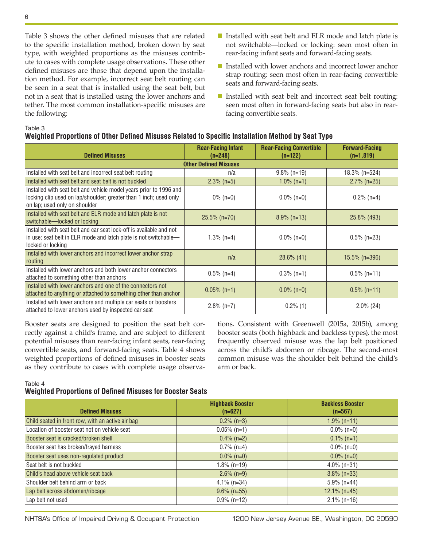Table 3 shows the other defined misuses that are related to the specific installation method, broken down by seat type, with weighted proportions as the misuses contribute to cases with complete usage observations. These other defined misuses are those that depend upon the installation method. For example, incorrect seat belt routing can be seen in a seat that is installed using the seat belt, but not in a seat that is installed using the lower anchors and tether. The most common installation-specific misuses are the following:

- Installed with seat belt and ELR mode and latch plate is not switchable—locked or locking: seen most often in rear-facing infant seats and forward-facing seats.
- Installed with lower anchors and incorrect lower anchor strap routing: seen most often in rear-facing convertible seats and forward-facing seats.
- Installed with seat belt and incorrect seat belt routing: seen most often in forward-facing seats but also in rearfacing convertible seats.

#### Table 3

#### **Weighted Proportions of Other Defined Misuses Related to Specific Installation Method by Seat Type**

| <b>Defined Misuses</b>                                                                                                                                                   | <b>Rear-Facing Infant</b><br>$(n=248)$ | <b>Rear-Facing Convertible</b><br>$(n=122)$ | <b>Forward-Facing</b><br>$(n=1,819)$ |  |  |  |  |  |  |  |  |
|--------------------------------------------------------------------------------------------------------------------------------------------------------------------------|----------------------------------------|---------------------------------------------|--------------------------------------|--|--|--|--|--|--|--|--|
| <b>Other Defined Misuses</b>                                                                                                                                             |                                        |                                             |                                      |  |  |  |  |  |  |  |  |
| Installed with seat belt and incorrect seat belt routing                                                                                                                 | n/a                                    | $9.8\%$ (n=19)                              | $18.3\%$ (n=524)                     |  |  |  |  |  |  |  |  |
| Installed with seat belt and seat belt is not buckled                                                                                                                    | $2.3\%$ (n=5)                          | $1.0\%$ (n=1)                               | $2.7\%$ (n=25)                       |  |  |  |  |  |  |  |  |
| Installed with seat belt and vehicle model years prior to 1996 and<br>locking clip used on lap/shoulder; greater than 1 inch; used only<br>on lap; used only on shoulder | $0\%$ (n=0)                            | $0.0\%$ (n=0)                               | $0.2\%$ (n=4)                        |  |  |  |  |  |  |  |  |
| Installed with seat belt and ELR mode and latch plate is not<br>switchable-locked or locking                                                                             | $25.5\%$ (n=70)                        | $8.9\%$ (n=13)                              | 25.8% (493)                          |  |  |  |  |  |  |  |  |
| Installed with seat belt and car seat lock-off is available and not<br>in use; seat belt in ELR mode and latch plate is not switchable—<br>locked or locking             | 1.3% (n=4)                             | $0.0\%$ (n=0)                               | $0.5\%$ (n=23)                       |  |  |  |  |  |  |  |  |
| Installed with lower anchors and incorrect lower anchor strap<br>routing                                                                                                 | n/a                                    | $28.6\%$ (41)                               | $15.5\%$ (n=396)                     |  |  |  |  |  |  |  |  |
| Installed with lower anchors and both lower anchor connectors<br>attached to something other than anchors                                                                | $0.5\%$ (n=4)                          | $0.3\%$ (n=1)                               | $0.5\%$ (n=11)                       |  |  |  |  |  |  |  |  |
| Installed with lower anchors and one of the connectors not<br>attached to anything or attached to something other than anchor                                            | $0.05\%$ (n=1)                         | $0.0\%$ (n=0)                               | $0.5\%$ (n=11)                       |  |  |  |  |  |  |  |  |
| Installed with lower anchors and multiple car seats or boosters<br>attached to lower anchors used by inspected car seat                                                  | $2.8\%$ (n=7)                          | $0.2\%$ (1)                                 | $2.0\%$ (24)                         |  |  |  |  |  |  |  |  |

Booster seats are designed to position the seat belt correctly against a child's frame, and are subject to different potential misuses than rear-facing infant seats, rear-facing convertible seats, and forward-facing seats. Table 4 shows weighted proportions of defined misuses in booster seats as they contribute to cases with complete usage observa-

tions. Consistent with Greenwell (2015a, 2015b), among booster seats (both highback and backless types), the most frequently observed misuse was the lap belt positioned across the child's abdomen or ribcage. The second-most common misuse was the shoulder belt behind the child's arm or back.

Table 4

## **Weighted Proportions of Defined Misuses for Booster Seats**

| <b>Defined Misuses</b>                            | <b>Highback Booster</b><br>$(n=627)$ | <b>Backless Booster</b><br>$(n=567)$ |
|---------------------------------------------------|--------------------------------------|--------------------------------------|
| Child seated in front row, with an active air bag | $0.2\%$ (n=3)                        | $1.9\%$ (n=11)                       |
| Location of booster seat not on vehicle seat      | $0.05\%$ (n=1)                       | $0.0\%$ (n=0)                        |
| Booster seat is cracked/broken shell              | $0.4\%$ (n=2)                        | $0.1\%$ (n=1)                        |
| Booster seat has broken/frayed harness            | $0.7\%$ (n=4)                        | $0.0\%$ (n=0)                        |
| Booster seat uses non-regulated product           | $0.0\%$ (n=0)                        | $0.0\%$ (n=0)                        |
| Seat belt is not buckled                          | $1.8\%$ (n=19)                       | $4.0\%$ (n=31)                       |
| Child's head above vehicle seat back              | $2.6\%$ (n=9)                        | $3.8\%$ (n=33)                       |
| Shoulder belt behind arm or back                  | $4.1\%$ (n=34)                       | $5.9\%$ (n=44)                       |
| Lap belt across abdomen/ribcage                   | $9.6\%$ (n=55)                       | $12.1\%$ (n=45)                      |
| Lap belt not used                                 | $0.9\%$ (n=12)                       | $2.1\%$ (n=16)                       |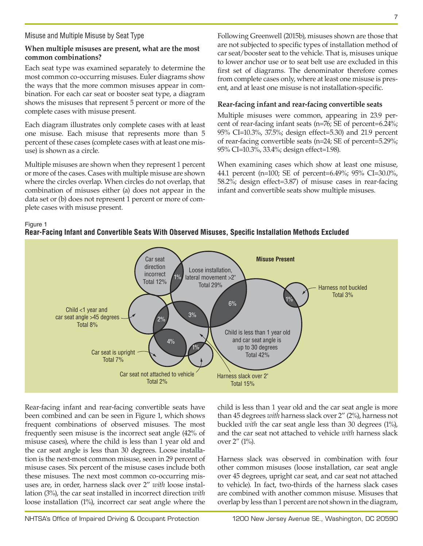## Misuse and Multiple Misuse by Seat Type

## **When multiple misuses are present, what are the most common combinations?**

Each seat type was examined separately to determine the most common co-occurring misuses. Euler diagrams show the ways that the more common misuses appear in combination. For each car seat or booster seat type, a diagram shows the misuses that represent 5 percent or more of the complete cases with misuse present.

Each diagram illustrates only complete cases with at least one misuse. Each misuse that represents more than 5 percent of these cases (complete cases with at least one misuse) is shown as a circle.

Multiple misuses are shown when they represent 1 percent or more of the cases. Cases with multiple misuse are shown where the circles overlap. When circles do not overlap, that combination of misuses either (a) does not appear in the data set or (b) does not represent 1 percent or more of complete cases with misuse present.

Following Greenwell (2015b), misuses shown are those that are not subjected to specific types of installation method of car seat/booster seat to the vehicle. That is, misuses unique to lower anchor use or to seat belt use are excluded in this first set of diagrams. The denominator therefore comes from complete cases only, where at least one misuse is present, and at least one misuse is not installation-specific.

## **Rear-facing infant and rear-facing convertible seats**

Multiple misuses were common, appearing in 23.9 percent of rear-facing infant seats (n=76; SE of percent=6.24%; 95% CI=10.3%, 37.5%; design effect=5.30) and 21.9 percent of rear-facing convertible seats (n=24; SE of percent=5.29%; 95% CI=10.3%, 33.4%; design effect=1.98).

When examining cases which show at least one misuse, 44.1 percent (n=100; SE of percent=6.49%; 95% CI=30.0%, 58.2%; design effect=3.87) of misuse cases in rear-facing infant and convertible seats show multiple misuses.

#### Figure 1

#### **Rear-Facing Infant and Convertible Seats With Observed Misuses, Specific Installation Methods Excluded**



Rear-facing infant and rear-facing convertible seats have been combined and can be seen in Figure 1, which shows frequent combinations of observed misuses. The most frequently seen misuse is the incorrect seat angle (42% of misuse cases), where the child is less than 1 year old and the car seat angle is less than 30 degrees. Loose installation is the next-most common misuse, seen in 29 percent of misuse cases. Six percent of the misuse cases include both these misuses. The next most common co-occurring misuses are, in order, harness slack over 2" *with* loose installation (3%), the car seat installed in incorrect direction *with* loose installation (1%), incorrect car seat angle where the

child is less than 1 year old and the car seat angle is more than 45 degrees *with* harness slack over 2" (2%), harness not buckled *with* the car seat angle less than 30 degrees (1%), and the car seat not attached to vehicle *with* harness slack over 2" (1%).

Harness slack was observed in combination with four other common misuses (loose installation, car seat angle over 45 degrees, upright car seat, and car seat not attached to vehicle). In fact, two-thirds of the harness slack cases are combined with another common misuse. Misuses that overlap by less than 1 percent are not shown in the diagram,

NHTSA's Office of Impaired Driving & Occupant Protection 1200 New Jersey Avenue SE., Washington, DC 20590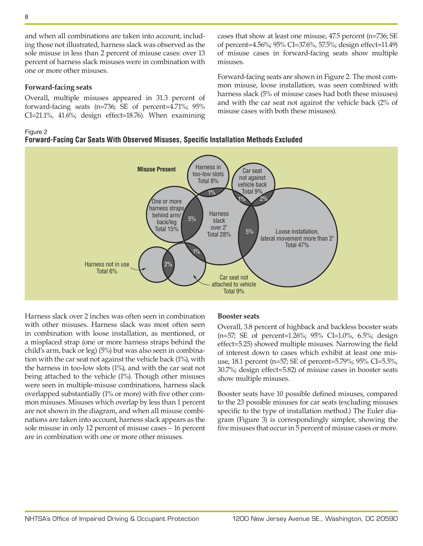and when all combinations are taken into account, including those not illustrated, harness slack was observed as the sole misuse in less than 2 percent of misuse cases: over 13 percent of harness slack misuses were in combination with one or more other misuses.

#### **Forward-facing seats**

Overall, multiple misuses appeared in 31.3 percent of forward-facing seats (n=736; SE of percent=4.71%; 95% CI=21.1%, 41.6%; design effect=18.76). When examining

#### Figure 2

## **Forward-Facing Car Seats With Observed Misuses, Specific Installation Methods Excluded**



misuses.

Harness slack over 2 inches was often seen in combination with other misuses. Harness slack was most often seen in combination with loose installation, as mentioned, or a misplaced strap (one or more harness straps behind the child's arm, back or leg) (5%) but was also seen in combination with the car seat not against the vehicle back (1%), with the harness in too-low slots (1%), and with the car seat not being attached to the vehicle (1%). Though other misuses were seen in multiple-misuse combinations, harness slack overlapped substantially (1% or more) with five other common misuses. Misuses which overlap by less than 1 percent are not shown in the diagram, and when all misuse combinations are taken into account, harness slack appears as the sole misuse in only 12 percent of misuse cases – 16 percent are in combination with one or more other misuses.

#### **Booster seats**

Overall, 3.8 percent of highback and backless booster seats (n=57; SE of percent=1.26%; 95% CI=1.0%, 6.5%; design effect=5.25) showed multiple misuses. Narrowing the field of interest down to cases which exhibit at least one misuse, 18.1 percent (n=57; SE of percent=5.79%; 95% CI=5.5%, 30.7%; design effect=5.82) of misuse cases in booster seats show multiple misuses.

cases that show at least one misuse, 47.5 percent (n=736; SE of percent=4.56%; 95% CI=37.6%, 57.5%; design effect=11.49) of misuse cases in forward-facing seats show multiple

Forward-facing seats are shown in Figure 2. The most common misuse, loose installation, was seen combined with harness slack (5% of misuse cases had both these misuses) and with the car seat not against the vehicle back (2% of

misuse cases with both these misuses).

Booster seats have 10 possible defined misuses, compared to the 23 possible misuses for car seats (excluding misuses specific to the type of installation method.) The Euler diagram (Figure 3) is correspondingly simpler, showing the five misuses that occur in 5 percent of misuse cases or more.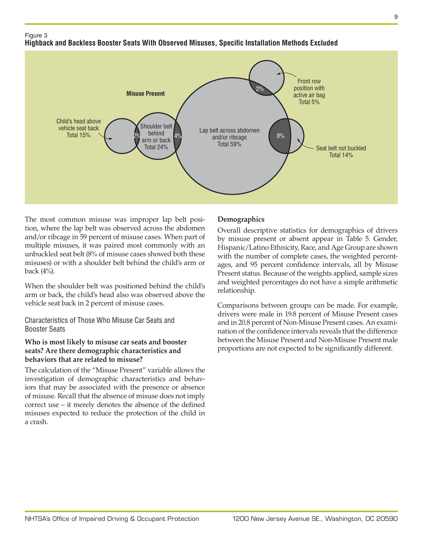## Figure 3

# **Highback and Backless Booster Seats With Observed Misuses, Specific Installation Methods Excluded**



The most common misuse was improper lap belt position, where the lap belt was observed across the abdomen and/or ribcage in 59 percent of misuse cases. When part of multiple misuses, it was paired most commonly with an unbuckled seat belt (8% of misuse cases showed both these misuses) or with a shoulder belt behind the child's arm or back (4%).

When the shoulder belt was positioned behind the child's arm or back, the child's head also was observed above the vehicle seat back in 2 percent of misuse cases.

Characteristics of Those Who Misuse Car Seats and Booster Seats

## **Who is most likely to misuse car seats and booster seats? Are there demographic characteristics and behaviors that are related to misuse?**

The calculation of the "Misuse Present" variable allows the investigation of demographic characteristics and behaviors that may be associated with the presence or absence of misuse. Recall that the absence of misuse does not imply correct use – it merely denotes the absence of the defined misuses expected to reduce the protection of the child in a crash.

## **Demographics**

Overall descriptive statistics for demographics of drivers by misuse present or absent appear in Table 5. Gender, Hispanic/Latino Ethnicity, Race, and Age Group are shown with the number of complete cases, the weighted percentages, and 95 percent confidence intervals, all by Misuse Present status. Because of the weights applied, sample sizes and weighted percentages do not have a simple arithmetic relationship.

Comparisons between groups can be made. For example, drivers were male in 19.8 percent of Misuse Present cases and in 20.8 percent of Non-Misuse Present cases. An examination of the confidence intervals reveals that the difference between the Misuse Present and Non-Misuse Present male proportions are not expected to be significantly different.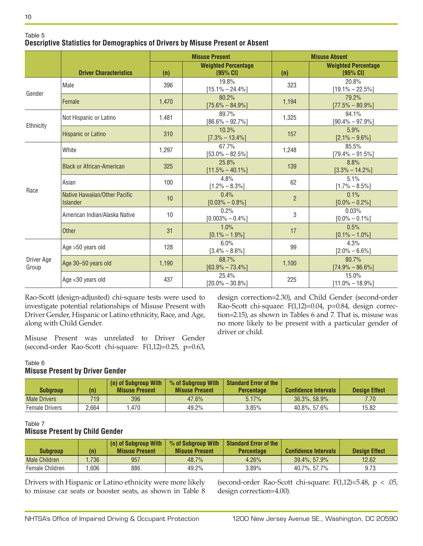|                     |                                                  |       | <b>Misuse Present</b>                    |                | <b>Misuse Absent</b>                     |
|---------------------|--------------------------------------------------|-------|------------------------------------------|----------------|------------------------------------------|
|                     | <b>Driver Characteristics</b>                    | (n)   | <b>Weighted Percentage</b><br>$195%$ CII | (n)            | <b>Weighted Percentage</b><br>$195%$ CI1 |
| Gender              | Male                                             | 396   | 19.8%<br>$[15.1\% - 24.4\%]$             | 323            | 20.8%<br>$[19.1\% - 22.5\%]$             |
|                     | Female                                           | 1,470 | 80.2%<br>$[75.6\% - 84.9\%]$             | 1,194          | 79.2%<br>$[77.5\% - 80.9\%]$             |
| Ethnicity           | Not Hispanic or Latino                           | 1,481 | 89.7%<br>$[86.6\% - 92.7\%]$             | 1,325          | 94.1%<br>$[90.4\% - 97.9\%]$             |
|                     | Hispanic or Latino                               | 310   | 10.3%<br>$[7.3\% - 13.4\%]$              | 157            | 5.9%<br>$[2.1\% - 9.6\%]$                |
|                     | White                                            | 1,297 | 67.7%<br>$[53.0\% - 82.5\%]$             | 1,248          | 85.5%<br>$[79.4\% - 91.5\%]$             |
|                     | <b>Black or African-American</b>                 | 325   | 25.8%<br>$[11.5\% - 40.1\%]$             | 139            | 8.8%<br>$[3.3\% - 14.2\%]$               |
| Race                | Asian                                            | 100   | 4.8%<br>$[1.2\% - 8.3\%]$                | 62             | 5.1%<br>$[1.7\% - 8.5\%]$                |
|                     | Native Hawaiian/Other Pacific<br><b>Islander</b> | 10    | 0.4%<br>$[0.03\% - 0.8\%]$               | $\overline{2}$ | 0.1%<br>$[0.0\% - 0.2\%]$                |
|                     | American Indian/Alaska Native                    | 10    | 0.2%<br>$[0.003\% - 0.4\%]$              | 3              | 0.03%<br>$[0.0\% - 0.1\%]$               |
|                     | <b>Other</b>                                     | 31    | 1.0%<br>$[0.1\% - 1.9\%]$                | 17             | 0.5%<br>$[0.1\% - 1.0\%]$                |
| Driver Age<br>Group | Age >50 years old                                | 128   | 6.0%<br>$[3.4\% - 8.6\%]$                | 99             | 4.3%<br>$[2.0\% - 6.6\%]$                |
|                     | Age 30-50 years old                              | 1,190 | 68.7%<br>$[63.9\% - 73.4\%]$             | 1,100          | 80.7%<br>$[74.9\% - 86.6\%]$             |
|                     | Age <30 years old                                | 437   | 25.4%<br>$[20.0\% - 30.8\%]$             | 225            | 15.0%<br>$[11.0\% - 18.9\%]$             |

#### Table 5 **Descriptive Statistics for Demographics of Drivers by Misuse Present or Absent**

Rao-Scott (design-adjusted) chi-square tests were used to investigate potential relationships of Misuse Present with Driver Gender, Hispanic or Latino ethnicity, Race, and Age, along with Child Gender.

Misuse Present was unrelated to Driver Gender (second-order Rao-Scott chi-square: F(1,12)=0.25, p=0.63, design correction=2.30), and Child Gender (second-order Rao-Scott chi-square: F(1,12)=0.04, p=0.84, design correction=2.15), as shown in Tables 6 and 7. That is, misuse was no more likely to be present with a particular gender of driver or child.

#### Table 6

## **Misuse Present by Driver Gender**

| Subgroup              | (n)   | (n) of Subgroup With<br><b>Misuse Present</b> | % of Subgroup With<br><b>Misuse Present</b> | <b>Standard Error of the</b><br><b>Percentage</b> | <b>Confidence Intervals</b> | <b>Design Effect</b> |
|-----------------------|-------|-----------------------------------------------|---------------------------------------------|---------------------------------------------------|-----------------------------|----------------------|
| <b>Male Drivers</b>   | 719   | 396                                           | 47.6%                                       | 5.17%                                             | $36.3\%$ , 58.9%            | 7.70                 |
| <b>Female Drivers</b> | 2.664 | .470                                          | 49.2%                                       | 3.85%                                             | 40.8%, 57.6%                | 15.82                |

#### Table 7

## **Misuse Present by Child Gender**

| Subgroup             |      | (n) of Subgroup With<br><b>Misuse Present</b> | % of Subgroup With<br><b>Misuse Present</b> | Standard Error of the<br><b>Percentage</b> | <b>Confidence Intervals</b> | <b>Design Effect</b> |
|----------------------|------|-----------------------------------------------|---------------------------------------------|--------------------------------------------|-----------------------------|----------------------|
| <b>Male Children</b> | 736  | 957                                           | 48.7%                                       | 4.26%                                      | 39.4%, 57.9%                | 12.62                |
| Female Children      | .606 | 886                                           | 49.2%                                       | $3.89\%$                                   | 40.7%, 57.7%                | 9.73                 |

Drivers with Hispanic or Latino ethnicity were more likely to misuse car seats or booster seats, as shown in Table 8

(second-order Rao-Scott chi-square: F(1,12)=5.48, p < .05, design correction=4.00).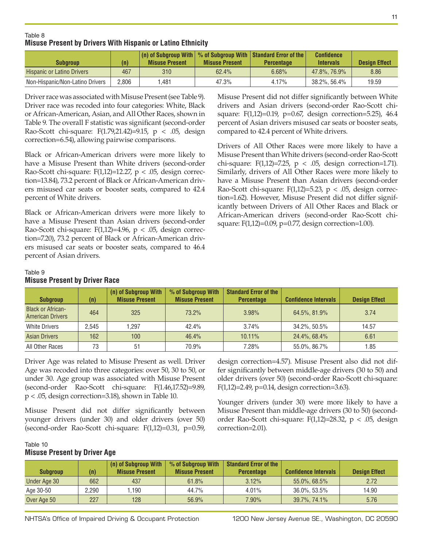#### Table 8 **Misuse Present by Drivers With Hispanic or Latino Ethnicity**

| <b>Subgroup</b>                   | (n)   | $\vert$ (n) of Subgroup With $\vert \%$ of Subgroup With $\vert$ Standard Error of the $\vert$<br><b>Misuse Present</b> | <b>Misuse Present</b> | <b>Percentage</b> | <b>Confidence</b><br><b>Intervals</b> | <b>Design Effect</b> |
|-----------------------------------|-------|-------------------------------------------------------------------------------------------------------------------------|-----------------------|-------------------|---------------------------------------|----------------------|
| <b>Hispanic or Latino Drivers</b> | 467   | 310                                                                                                                     | 62.4%                 | 6.68%             | 47.8%, 76.9%                          | 8.86                 |
| Non-Hispanic/Non-Latino Drivers   | 2.806 | .481                                                                                                                    | 47.3%                 | 4.17%             | $38.2\%$ , 56.4%                      | 19.59                |

Driver race was associated with Misuse Present (see Table 9). Driver race was recoded into four categories: White, Black or African-American, Asian, and All Other Races, shown in Table 9. The overall F statistic was significant (second-order Rao-Scott chi-square: F(1.79,21.42)=9.15, p < .05, design correction=6.54), allowing pairwise comparisons.

Black or African-American drivers were more likely to have a Misuse Present than White drivers (second-order Rao-Scott chi-square:  $F(1,12)=12.27$ ,  $p < .05$ , design correction=13.84), 73.2 percent of Black or African-American drivers misused car seats or booster seats, compared to 42.4 percent of White drivers.

Black or African-American drivers were more likely to have a Misuse Present than Asian drivers (second-order Rao-Scott chi-square:  $F(1,12)=4.96$ ,  $p < .05$ , design correction=7.20), 73.2 percent of Black or African-American drivers misused car seats or booster seats, compared to 46.4 percent of Asian drivers.

Misuse Present did not differ significantly between White drivers and Asian drivers (second-order Rao-Scott chisquare: F(1,12)=0.19, p=0.67, design correction=5.25), 46.4 percent of Asian drivers misused car seats or booster seats, compared to 42.4 percent of White drivers.

Drivers of All Other Races were more likely to have a Misuse Present than White drivers (second-order Rao-Scott chi-square:  $F(1,12)=7.25$ ,  $p < .05$ , design correction=1.71). Similarly, drivers of All Other Races were more likely to have a Misuse Present than Asian drivers (second-order Rao-Scott chi-square:  $F(1,12)=5.23$ ,  $p < .05$ , design correction=1.62). However, Misuse Present did not differ significantly between Drivers of All Other Races and Black or African-American drivers (second-order Rao-Scott chisquare: F(1,12)=0.09, p=0.77, design correction=1.00).

#### Table 9

#### **Misuse Present by Driver Race**

| <b>Subgroup</b>                                     | (n)   | (n) of Subgroup With<br><b>Misuse Present</b> | % of Subgroup With<br><b>Misuse Present</b> | <b>Standard Error of the</b><br><b>Percentage</b> | <b>Confidence Intervals</b> | <b>Design Effect</b> |
|-----------------------------------------------------|-------|-----------------------------------------------|---------------------------------------------|---------------------------------------------------|-----------------------------|----------------------|
| <b>Black or African-</b><br><b>American Drivers</b> | 464   | 325                                           | 73.2%                                       | 3.98%                                             | 64.5%, 81.9%                | 3.74                 |
| <b>White Drivers</b>                                | 2.545 | .297                                          | 42.4%                                       | 3.74%                                             | 34.2%, 50.5%                | 14.57                |
| <b>Asian Drivers</b>                                | 162   | 100                                           | 46.4%                                       | $10.11\%$                                         | 24.4%, 68.4%                | 6.61                 |
| All Other Races                                     | 73    | 51                                            | 70.9%                                       | 7.28%                                             | 55.0%, 86.7%                | 1.85                 |

Driver Age was related to Misuse Present as well. Driver Age was recoded into three categories: over 50, 30 to 50, or under 30. Age group was associated with Misuse Present (second-order Rao-Scott chi-square: F(1.46,17.52)=9.89, p < .05, design correction=3.18), shown in Table 10.

Misuse Present did not differ significantly between younger drivers (under 30) and older drivers (over 50) (second-order Rao-Scott chi-square: F(1,12)=0.31, p=0.59, design correction=4.57). Misuse Present also did not differ significantly between middle-age drivers (30 to 50) and older drivers (over 50) (second-order Rao-Scott chi-square: F(1,12)=2.49, p=0.14, design correction=3.63).

Younger drivers (under 30) were more likely to have a Misuse Present than middle-age drivers (30 to 50) (secondorder Rao-Scott chi-square:  $F(1,12)=28.32$ ,  $p < .05$ , design correction=2.01).

#### Table 10 **Misuse Present by Driver Age**

| <b>Subgroup</b> | (n)   | (n) of Subgroup With<br><b>Misuse Present</b> | % of Subgroup With<br><b>Misuse Present</b> | <b>Standard Error of the</b><br><b>Percentage</b> | <b>Confidence Intervals</b> | <b>Design Effect</b> |
|-----------------|-------|-----------------------------------------------|---------------------------------------------|---------------------------------------------------|-----------------------------|----------------------|
| Under Age 30    | 662   | 437                                           | 61.8%                                       | 3.12%                                             | 55.0%, 68.5%                | 2.72                 |
| Age 30-50       | 2.290 | .190                                          | 44.7%                                       | $4.01\%$                                          | $36.0\%$ , 53.5%            | 14.90                |
| Over Age 50     | 227   | 128                                           | 56.9%                                       | $7.90\%$                                          | $39.7\%$ , 74.1%            | 5.76                 |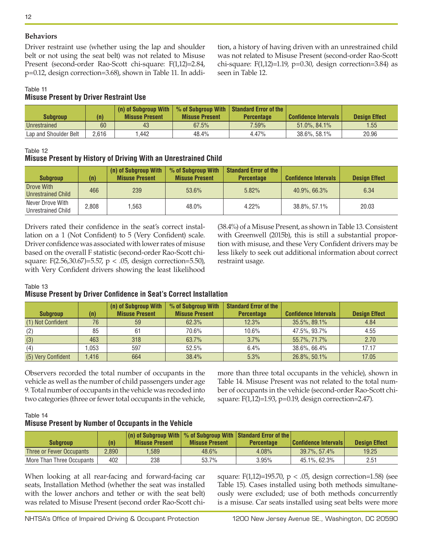## **Behaviors**

Driver restraint use (whether using the lap and shoulder belt or not using the seat belt) was not related to Misuse Present (second-order Rao-Scott chi-square: F(1,12)=2.84, p=0.12, design correction=3.68), shown in Table 11. In addi-

tion, a history of having driven with an unrestrained child was not related to Misuse Present (second-order Rao-Scott chi-square:  $F(1,12)=1.19$ ,  $p=0.30$ , design correction=3.84) as seen in Table 12.

#### Table 11 **Misuse Present by Driver Restraint Use**

| <b>Subgroup</b>       | (n)   | (n) of Subaroup With<br><b>Misuse Present</b> | <b>Misuse Present</b> | $\frac{1}{2}$ % of Subgroup With Standard Error of the<br><b>Percentage</b> | <b>Confidence Intervals</b> | <b>Design Effect</b> |
|-----------------------|-------|-----------------------------------------------|-----------------------|-----------------------------------------------------------------------------|-----------------------------|----------------------|
| Unrestrained          | 60    | 43                                            | 67.5%                 | $7.59\%$                                                                    | $51.0\%$ , 84.1%            | 1.55                 |
| Lap and Shoulder Belt | 2.616 | .442                                          | 48.4%                 | 4.47%                                                                       | $38.6\%$ , 58.1%            | 20.96                |

Table 12

# **Misuse Present by History of Driving With an Unrestrained Child**

| <b>Subgroup</b>                        | (n)   | (n) of Subgroup With<br><b>Misuse Present</b> | % of Subgroup With<br><b>Misuse Present</b> | <b>Standard Error of the</b><br><b>Percentage</b> | <b>Confidence Intervals</b> | <b>Design Effect</b> |
|----------------------------------------|-------|-----------------------------------------------|---------------------------------------------|---------------------------------------------------|-----------------------------|----------------------|
| Drove With<br>Unrestrained Child       | 466   | 239                                           | 53.6%                                       | 5.82%                                             | 40.9%, 66.3%                | 6.34                 |
| Never Drove With<br>Unrestrained Child | 2,808 | .563                                          | 48.0%                                       | 4.22%                                             | 38.8%, 57.1%                | 20.03                |

Drivers rated their confidence in the seat's correct installation on a 1 (Not Confident) to 5 (Very Confident) scale. Driver confidence was associated with lower rates of misuse based on the overall F statistic (second-order Rao-Scott chisquare: F(2.56,30.67)=5.57, p < .05, design correction=5.50), with Very Confident drivers showing the least likelihood (38.4%) of a Misuse Present, as shown in Table 13. Consistent with Greenwell (2015b), this is still a substantial proportion with misuse, and these Very Confident drivers may be less likely to seek out additional information about correct restraint usage.

#### Table 13

# **Misuse Present by Driver Confidence in Seat's Correct Installation**

|                    |      | (n) of Subgroup With  | % of Subgroup With    | <b>Standard Error of the</b> |                             |                      |
|--------------------|------|-----------------------|-----------------------|------------------------------|-----------------------------|----------------------|
| <b>Subgroup</b>    | (n)  | <b>Misuse Present</b> | <b>Misuse Present</b> | <b>Percentage</b>            | <b>Confidence Intervals</b> | <b>Design Effect</b> |
| (1) Not Confident  | 76   | 59                    | 62.3%                 | 12.3%                        | 35.5%, 89.1%                | 4.84                 |
| (2)                | 85   | 61                    | 70.6%                 | 10.6%                        | 47.5%, 93.7%                | 4.55                 |
| (3)                | 463  | 318                   | 63.7%                 | 3.7%                         | 55.7%, 71.7%                | 2.70                 |
| (4)                | .053 | 597                   | 52.5%                 | 6.4%                         | 38.6%, 66.4%                | 17.17                |
| (5) Very Confident | .416 | 664                   | 38.4%                 | 5.3%                         | 26.8%, 50.1%                | 17.05                |

Observers recorded the total number of occupants in the vehicle as well as the number of child passengers under age 9. Total number of occupants in the vehicle was recoded into two categories (three or fewer total occupants in the vehicle, more than three total occupants in the vehicle), shown in Table 14. Misuse Present was not related to the total number of occupants in the vehicle (second-order Rao-Scott chisquare: F(1,12)=1.93, p=0.19, design correction=2.47).

## Table 14 **Misuse Present by Number of Occupants in the Vehicle**

|                           |       | $\vert$ (n) of Subgroup With $\vert \%$ of Subgroup With Standard Error of the |                       |                   |                             |                      |
|---------------------------|-------|--------------------------------------------------------------------------------|-----------------------|-------------------|-----------------------------|----------------------|
| Subgroup                  | (n)   | <b>Misuse Present</b>                                                          | <b>Misuse Present</b> | <b>Percentage</b> | <b>Confidence Intervals</b> | <b>Design Effect</b> |
| Three or Fewer Occupants  | 2.890 | .589                                                                           | 48.6%                 | 4.08%             | $39.7\%$ , 57,4%            | 19.25                |
| More Than Three Occupants | 402   | 238                                                                            | 53.7%                 | 3.95%             | 45.1%, 62.3%                | 2.51                 |

When looking at all rear-facing and forward-facing car seats, Installation Method (whether the seat was installed with the lower anchors and tether or with the seat belt) was related to Misuse Present (second order Rao-Scott chisquare: F(1,12)=195.70,  $p < .05$ , design correction=1.58) (see Table 15). Cases installed using both methods simultaneously were excluded; use of both methods concurrently is a misuse. Car seats installed using seat belts were more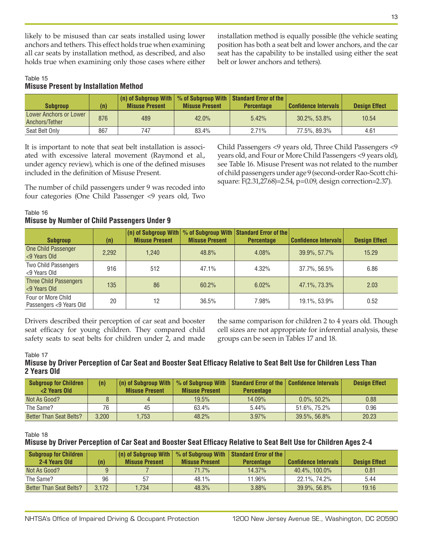likely to be misused than car seats installed using lower anchors and tethers. This effect holds true when examining all car seats by installation method, as described, and also holds true when examining only those cases where either installation method is equally possible (the vehicle seating position has both a seat belt and lower anchors, and the car seat has the capability to be installed using either the seat belt or lower anchors and tethers).

## Table 15 **Misuse Present by Installation Method**

| <b>Subaroup</b>                          | (n) | $(n)$ of Subgroup With $ n\rangle$<br><b>Misuse Present</b> | <b>Misuse Present</b> | % of Subgroup With   Standard Error of the  <br><b>Percentage</b> | <b>Confidence Intervals</b> | <b>Design Effect</b> |
|------------------------------------------|-----|-------------------------------------------------------------|-----------------------|-------------------------------------------------------------------|-----------------------------|----------------------|
| Lower Anchors or Lower<br>Anchors/Tether | 876 | 489                                                         | $42.0\%$              | 5.42%                                                             | $30.2\%$ , 53.8%            | 10.54                |
| Seat Belt Only                           | 867 | 747                                                         | 83.4%                 | 2.71%                                                             | 77.5%, 89.3%                | 4.61                 |

It is important to note that seat belt installation is associated with excessive lateral movement (Raymond et al., under agency review), which is one of the defined misuses included in the definition of Misuse Present.

The number of child passengers under 9 was recoded into four categories (One Child Passenger <9 years old, Two Child Passengers <9 years old, Three Child Passengers <9 years old, and Four or More Child Passengers <9 years old), see Table 16. Misuse Present was not related to the number of child passengers under age 9 (second-order Rao-Scott chisquare: F(2.31,27.68)=2.54, p=0.09, design correction=2.37).

# Table 16 **Misuse by Number of Child Passengers Under 9**

| <b>Subgroup</b>                               | (n)   | $(n)$ of Subgroup With $\infty$ of Subgroup With Standard Error of the<br><b>Misuse Present</b> | <b>Misuse Present</b> | <b>Percentage</b> | <b>Confidence Intervals</b> | <b>Design Effect</b> |
|-----------------------------------------------|-------|-------------------------------------------------------------------------------------------------|-----------------------|-------------------|-----------------------------|----------------------|
| One Child Passenger<br><9 Years Old           | 2.292 | 1.240                                                                                           | 48.8%                 | 4.08%             | 39.9%, 57.7%                | 15.29                |
| Two Child Passengers<br><9 Years Old          | 916   | 512                                                                                             | 47.1%                 | $4.32\%$          | 37.7%, 56.5%                | 6.86                 |
| <b>Three Child Passengers</b><br><9 Years Old | 135   | 86                                                                                              | 60.2%                 | 6.02%             | 47.1%, 73.3%                | 2.03                 |
| Four or More Child<br>Passengers <9 Years Old | 20    | 12                                                                                              | 36.5%                 | 7.98%             | 19.1%, 53.9%                | 0.52                 |

Drivers described their perception of car seat and booster seat efficacy for young children. They compared child safety seats to seat belts for children under 2, and made

the same comparison for children 2 to 4 years old. Though cell sizes are not appropriate for inferential analysis, these groups can be seen in Tables 17 and 18.

#### Table 17

## **Misuse by Driver Perception of Car Seat and Booster Seat Efficacy Relative to Seat Belt Use for Children Less Than 2 Years Old**

| <b>Subgroup for Children</b><br><2 Years Old | (n)   | (n) of Subgroup With   % of Subgroup With<br><b>Misuse Present</b> | <b>Misuse Present</b> | Standard Error of the   Confidence Intervals<br><b>Percentage</b> |                 | <b>Design Effect</b> |
|----------------------------------------------|-------|--------------------------------------------------------------------|-----------------------|-------------------------------------------------------------------|-----------------|----------------------|
| Not As Good?                                 | Ŏ     |                                                                    | 19.5%                 | 14.09%                                                            | $0.0\%$ , 50.2% | 0.88                 |
| The Same?                                    | 76    | 45                                                                 | 63.4%                 | 5.44%                                                             | 51.6%, 75.2%    | 0.96                 |
| Better Than Seat Belts?                      | 3.200 | .753                                                               | 48.2%                 | $3.97\%$                                                          | 39.5%, 56.8%    | 20.23                |

#### Table 18

# **Misuse by Driver Perception of Car Seat and Booster Seat Efficacy Relative to Seat Belt Use for Children Ages 2-4**

| <b>Subgroup for Children</b> |       | (n) of Subgroup With  |                       | % of Subgroup With   Standard Error of the |                             |                      |
|------------------------------|-------|-----------------------|-----------------------|--------------------------------------------|-----------------------------|----------------------|
| 2-4 Years Old                | (n)   | <b>Misuse Present</b> | <b>Misuse Present</b> | <b>Percentage</b>                          | <b>Confidence Intervals</b> | <b>Design Effect</b> |
| Not As Good?                 | a     |                       | 71.7%                 | 14.37%                                     | 40.4%, 100.0%               | 0.81                 |
| The Same?                    | 96    | 57                    | 48.1%                 | 11.96%                                     | 22.1%, 74.2%                | 5.44                 |
| Better Than Seat Belts?      | 3.172 | .734                  | 48.3%                 | 3.88%                                      | $39.9\%$ , 56.8%            | 19.16                |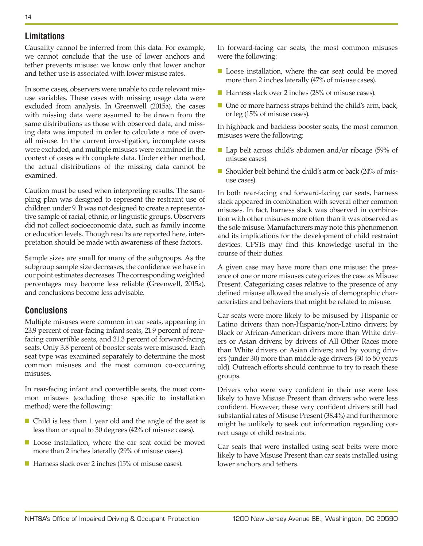# **Limitations**

Causality cannot be inferred from this data. For example, we cannot conclude that the use of lower anchors and tether prevents misuse: we know only that lower anchor and tether use is associated with lower misuse rates.

In some cases, observers were unable to code relevant misuse variables. These cases with missing usage data were excluded from analysis. In Greenwell (2015a), the cases with missing data were assumed to be drawn from the same distributions as those with observed data, and missing data was imputed in order to calculate a rate of overall misuse. In the current investigation, incomplete cases were excluded, and multiple misuses were examined in the context of cases with complete data. Under either method, the actual distributions of the missing data cannot be examined.

Caution must be used when interpreting results. The sampling plan was designed to represent the restraint use of children under 9. It was not designed to create a representative sample of racial, ethnic, or linguistic groups. Observers did not collect socioeconomic data, such as family income or education levels. Though results are reported here, interpretation should be made with awareness of these factors.

Sample sizes are small for many of the subgroups. As the subgroup sample size decreases, the confidence we have in our point estimates decreases. The corresponding weighted percentages may become less reliable (Greenwell, 2015a), and conclusions become less advisable.

# **Conclusions**

Multiple misuses were common in car seats, appearing in 23.9 percent of rear-facing infant seats, 21.9 percent of rearfacing convertible seats, and 31.3 percent of forward-facing seats. Only 3.8 percent of booster seats were misused. Each seat type was examined separately to determine the most common misuses and the most common co-occurring misuses.

In rear-facing infant and convertible seats, the most common misuses (excluding those specific to installation method) were the following:

- Child is less than 1 year old and the angle of the seat is less than or equal to 30 degrees (42% of misuse cases).
- Loose installation, where the car seat could be moved more than 2 inches laterally (29% of misuse cases).
- Harness slack over 2 inches (15% of misuse cases).

In forward-facing car seats, the most common misuses were the following:

- Loose installation, where the car seat could be moved more than 2 inches laterally (47% of misuse cases).
- Harness slack over 2 inches (28% of misuse cases).
- One or more harness straps behind the child's arm, back, or leg (15% of misuse cases).

In highback and backless booster seats, the most common misuses were the following:

- Lap belt across child's abdomen and/or ribcage (59% of misuse cases).
- Shoulder belt behind the child's arm or back (24% of misuse cases).

In both rear-facing and forward-facing car seats, harness slack appeared in combination with several other common misuses. In fact, harness slack was observed in combination with other misuses more often than it was observed as the sole misuse. Manufacturers may note this phenomenon and its implications for the development of child restraint devices. CPSTs may find this knowledge useful in the course of their duties.

A given case may have more than one misuse: the presence of one or more misuses categorizes the case as Misuse Present. Categorizing cases relative to the presence of any defined misuse allowed the analysis of demographic characteristics and behaviors that might be related to misuse.

Car seats were more likely to be misused by Hispanic or Latino drivers than non-Hispanic/non-Latino drivers; by Black or African-American drivers more than White drivers or Asian drivers; by drivers of All Other Races more than White drivers or Asian drivers; and by young drivers (under 30) more than middle-age drivers (30 to 50 years old). Outreach efforts should continue to try to reach these groups.

Drivers who were very confident in their use were less likely to have Misuse Present than drivers who were less confident. However, these very confident drivers still had substantial rates of Misuse Present (38.4%) and furthermore might be unlikely to seek out information regarding correct usage of child restraints.

Car seats that were installed using seat belts were more likely to have Misuse Present than car seats installed using lower anchors and tethers.